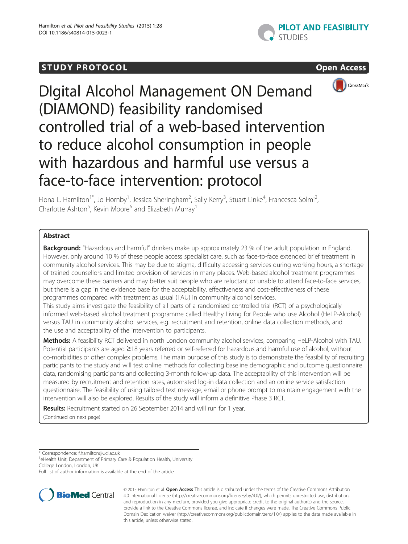# **STUDY PROTOCOL CONSUMING THE SECOND CONSUMING THE SECOND CONSUMING THE SECOND CONSUMING THE SECOND CONSUMING THE SECOND CONSUMING THE SECOND CONSUMING THE SECOND CONSUMING THE SECOND CONSUMING THE SECOND CONSUMING THE S**

**PILOT AND FEASIBILITY STUDIES** 



DIgital Alcohol Management ON Demand (DIAMOND) feasibility randomised controlled trial of a web-based intervention to reduce alcohol consumption in people with hazardous and harmful use versus a face-to-face intervention: protocol

Fiona L. Hamilton<sup>1\*</sup>, Jo Hornby<sup>1</sup>, Jessica Sheringham<sup>2</sup>, Sally Kerry<sup>3</sup>, Stuart Linke<sup>4</sup>, Francesca Solmi<sup>2</sup> , Charlotte Ashton<sup>5</sup>, Kevin Moore<sup>6</sup> and Elizabeth Murray<sup>1</sup>

## Abstract

**Background:** "Hazardous and harmful" drinkers make up approximately 23 % of the adult population in England. However, only around 10 % of these people access specialist care, such as face-to-face extended brief treatment in community alcohol services. This may be due to stigma, difficulty accessing services during working hours, a shortage of trained counsellors and limited provision of services in many places. Web-based alcohol treatment programmes may overcome these barriers and may better suit people who are reluctant or unable to attend face-to-face services, but there is a gap in the evidence base for the acceptability, effectiveness and cost-effectiveness of these programmes compared with treatment as usual (TAU) in community alcohol services.

This study aims investigate the feasibility of all parts of a randomised controlled trial (RCT) of a psychologically informed web-based alcohol treatment programme called Healthy Living for People who use Alcohol (HeLP-Alcohol) versus TAU in community alcohol services, e.g. recruitment and retention, online data collection methods, and the use and acceptability of the intervention to participants.

Methods: A feasibility RCT delivered in north London community alcohol services, comparing HeLP-Alcohol with TAU. Potential participants are aged ≥18 years referred or self-referred for hazardous and harmful use of alcohol, without co-morbidities or other complex problems. The main purpose of this study is to demonstrate the feasibility of recruiting participants to the study and will test online methods for collecting baseline demographic and outcome questionnaire data, randomising participants and collecting 3-month follow-up data. The acceptability of this intervention will be measured by recruitment and retention rates, automated log-in data collection and an online service satisfaction questionnaire. The feasibility of using tailored text message, email or phone prompt to maintain engagement with the intervention will also be explored. Results of the study will inform a definitive Phase 3 RCT.

Results: Recruitment started on 26 September 2014 and will run for 1 year.

(Continued on next page)

\* Correspondence: [f.hamilton@ucl.ac.uk](mailto:f.hamilton@ucl.ac.uk) <sup>1</sup>

<sup>1</sup>eHealth Unit, Department of Primary Care & Population Health, University College London, London, UK

Full list of author information is available at the end of the article



© 2015 Hamilton et al. Open Access This article is distributed under the terms of the Creative Commons Attribution 4.0 International License [\(http://creativecommons.org/licenses/by/4.0/\)](http://creativecommons.org/licenses/by/4.0/), which permits unrestricted use, distribution, and reproduction in any medium, provided you give appropriate credit to the original author(s) and the source, provide a link to the Creative Commons license, and indicate if changes were made. The Creative Commons Public Domain Dedication waiver ([http://creativecommons.org/publicdomain/zero/1.0/\)](http://creativecommons.org/publicdomain/zero/1.0/) applies to the data made available in this article, unless otherwise stated.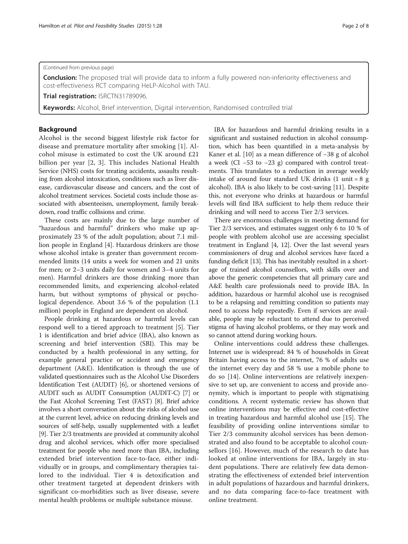#### (Continued from previous page)

Conclusion: The proposed trial will provide data to inform a fully powered non-inferiority effectiveness and cost-effectiveness RCT comparing HeLP-Alcohol with TAU.

Trial registration: [ISRCTN31789096](http://www.isrctn.com/ISRCTN31789096).

Keywords: Alcohol, Brief intervention, Digital intervention, Randomised controlled trial

## Background

Alcohol is the second biggest lifestyle risk factor for disease and premature mortality after smoking [[1](#page-6-0)]. Alcohol misuse is estimated to cost the UK around £21 billion per year [[2, 3\]](#page-6-0). This includes National Health Service (NHS) costs for treating accidents, assaults resulting from alcohol intoxication, conditions such as liver disease, cardiovascular disease and cancers, and the cost of alcohol treatment services. Societal costs include those associated with absenteeism, unemployment, family breakdown, road traffic collisions and crime.

These costs are mainly due to the large number of "hazardous and harmful" drinkers who make up approximately 23 % of the adult population; about 7.1 million people in England [\[4\]](#page-6-0). Hazardous drinkers are those whose alcohol intake is greater than government recommended limits (14 units a week for women and 21 units for men; or 2–3 units daily for women and 3–4 units for men). Harmful drinkers are those drinking more than recommended limits, and experiencing alcohol-related harm, but without symptoms of physical or psychological dependence. About 3.6 % of the population (1.1 million) people in England are dependent on alcohol.

People drinking at hazardous or harmful levels can respond well to a tiered approach to treatment [[5](#page-6-0)]. Tier 1 is identification and brief advice (IBA), also known as screening and brief intervention (SBI). This may be conducted by a health professional in any setting, for example general practice or accident and emergency department (A&E). Identification is through the use of validated questionnaires such as the Alcohol Use Disorders Identification Test (AUDIT) [[6](#page-6-0)], or shortened versions of AUDIT such as AUDIT Consumption (AUDIT-C) [\[7\]](#page-6-0) or the Fast Alcohol Screening Test (FAST) [\[8\]](#page-6-0). Brief advice involves a short conversation about the risks of alcohol use at the current level, advice on reducing drinking levels and sources of self-help, usually supplemented with a leaflet [[9\]](#page-6-0). Tier 2/3 treatments are provided at community alcohol drug and alcohol services, which offer more specialised treatment for people who need more than IBA, including extended brief intervention face-to-face, either individually or in groups, and complimentary therapies tailored to the individual. Tier 4 is detoxification and other treatment targeted at dependent drinkers with significant co-morbidities such as liver disease, severe mental health problems or multiple substance misuse.

IBA for hazardous and harmful drinking results in a significant and sustained reduction in alcohol consumption, which has been quantified in a meta-analysis by Kaner et al. [[10\]](#page-6-0) as a mean difference of −38 g of alcohol a week (CI −53 to −23 g) compared with control treatments. This translates to a reduction in average weekly intake of around four standard UK drinks  $(1 \text{ unit} = 8 \text{ g})$ alcohol). IBA is also likely to be cost-saving [[11\]](#page-6-0). Despite this, not everyone who drinks at hazardous or harmful levels will find IBA sufficient to help them reduce their drinking and will need to access Tier 2/3 services.

There are enormous challenges in meeting demand for Tier 2/3 services, and estimates suggest only 6 to 10 % of people with problem alcohol use are accessing specialist treatment in England [\[4](#page-6-0), [12\]](#page-6-0). Over the last several years commissioners of drug and alcohol services have faced a funding deficit [\[13\]](#page-6-0). This has inevitably resulted in a shortage of trained alcohol counsellors, with skills over and above the generic competencies that all primary care and A&E health care professionals need to provide IBA. In addition, hazardous or harmful alcohol use is recognised to be a relapsing and remitting condition so patients may need to access help repeatedly. Even if services are available, people may be reluctant to attend due to perceived stigma of having alcohol problems, or they may work and so cannot attend during working hours.

Online interventions could address these challenges. Internet use is widespread: 84 % of households in Great Britain having access to the internet, 76 % of adults use the internet every day and 58 % use a mobile phone to do so [[14](#page-6-0)]. Online interventions are relatively inexpensive to set up, are convenient to access and provide anonymity, which is important to people with stigmatising conditions. A recent systematic review has shown that online interventions may be effective and cost-effective in treating hazardous and harmful alcohol use [[15\]](#page-6-0). The feasibility of providing online interventions similar to Tier 2/3 community alcohol services has been demonstrated and also found to be acceptable to alcohol counsellors [[16\]](#page-6-0). However, much of the research to date has looked at online interventions for IBA, largely in student populations. There are relatively few data demonstrating the effectiveness of extended brief intervention in adult populations of hazardous and harmful drinkers, and no data comparing face-to-face treatment with online treatment.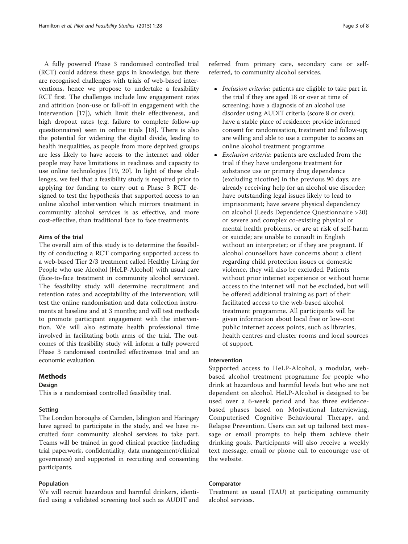A fully powered Phase 3 randomised controlled trial (RCT) could address these gaps in knowledge, but there are recognised challenges with trials of web-based interventions, hence we propose to undertake a feasibility RCT first. The challenges include low engagement rates and attrition (non-use or fall-off in engagement with the intervention [\[17\]](#page-6-0)), which limit their effectiveness, and high dropout rates (e.g. failure to complete follow-up questionnaires) seen in online trials [[18\]](#page-6-0). There is also the potential for widening the digital divide, leading to health inequalities, as people from more deprived groups are less likely to have access to the internet and older people may have limitations in readiness and capacity to use online technologies [\[19](#page-6-0), [20](#page-6-0)]. In light of these challenges, we feel that a feasibility study is required prior to applying for funding to carry out a Phase 3 RCT designed to test the hypothesis that supported access to an online alcohol intervention which mirrors treatment in community alcohol services is as effective, and more cost-effective, than traditional face to face treatments.

## Aims of the trial

The overall aim of this study is to determine the feasibility of conducting a RCT comparing supported access to a web-based Tier 2/3 treatment called Healthy Living for People who use Alcohol (HeLP-Alcohol) with usual care (face-to-face treatment in community alcohol services). The feasibility study will determine recruitment and retention rates and acceptability of the intervention; will test the online randomisation and data collection instruments at baseline and at 3 months; and will test methods to promote participant engagement with the intervention. We will also estimate health professional time involved in facilitating both arms of the trial. The outcomes of this feasibility study will inform a fully powered Phase 3 randomised controlled effectiveness trial and an economic evaluation.

## Methods

## Design

This is a randomised controlled feasibility trial.

#### Setting

The London boroughs of Camden, Islington and Haringey have agreed to participate in the study, and we have recruited four community alcohol services to take part. Teams will be trained in good clinical practice (including trial paperwork, confidentiality, data management/clinical governance) and supported in recruiting and consenting participants.

#### Population

We will recruit hazardous and harmful drinkers, identified using a validated screening tool such as AUDIT and referred from primary care, secondary care or selfreferred, to community alcohol services.

- *Inclusion criteria*: patients are eligible to take part in the trial if they are aged 18 or over at time of screening; have a diagnosis of an alcohol use disorder using AUDIT criteria (score 8 or over); have a stable place of residence; provide informed consent for randomisation, treatment and follow-up; are willing and able to use a computer to access an online alcohol treatment programme.
- Exclusion criteria: patients are excluded from the trial if they have undergone treatment for substance use or primary drug dependence (excluding nicotine) in the previous 90 days; are already receiving help for an alcohol use disorder; have outstanding legal issues likely to lead to imprisonment; have severe physical dependency on alcohol (Leeds Dependence Questionnaire >20) or severe and complex co-existing physical or mental health problems, or are at risk of self-harm or suicide; are unable to consult in English without an interpreter; or if they are pregnant. If alcohol counsellors have concerns about a client regarding child protection issues or domestic violence, they will also be excluded. Patients without prior internet experience or without home access to the internet will not be excluded, but will be offered additional training as part of their facilitated access to the web-based alcohol treatment programme. All participants will be given information about local free or low-cost public internet access points, such as libraries, health centres and cluster rooms and local sources of support.

#### Intervention

Supported access to HeLP-Alcohol, a modular, webbased alcohol treatment programme for people who drink at hazardous and harmful levels but who are not dependent on alcohol. HeLP-Alcohol is designed to be used over a 6-week period and has three evidencebased phases based on Motivational Interviewing, Computerised Cognitive Behavioural Therapy, and Relapse Prevention. Users can set up tailored text message or email prompts to help them achieve their drinking goals. Participants will also receive a weekly text message, email or phone call to encourage use of the website.

#### Comparator

Treatment as usual (TAU) at participating community alcohol services.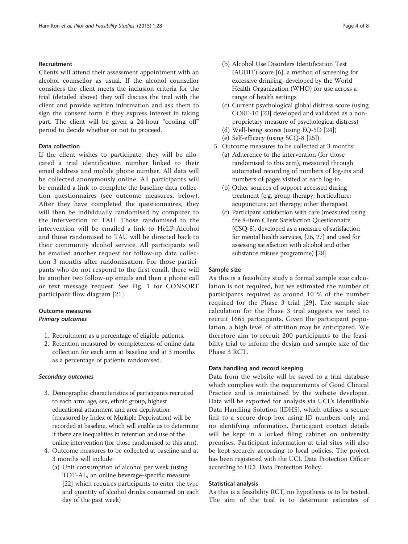## Recruitment

Clients will attend their assessment appointment with an alcohol counsellor as usual. If the alcohol counsellor considers the client meets the inclusion criteria for the trial (detailed above) they will discuss the trial with the client and provide written information and ask them to sign the consent form if they express interest in taking part. The client will be given a 24-hour "cooling off" period to decide whether or not to proceed.

### Data collection

If the client wishes to participate, they will be allocated a trial identification number linked to their email address and mobile phone number. All data will be collected anonymously online. All participants will be emailed a link to complete the baseline data collection questionnaires (see outcome measures, below). After they have completed the questionnaires, they will then be individually randomised by computer to the intervention or TAU. Those randomised to the intervention will be emailed a link to HeLP-Alcohol and those randomised to TAU will be directed back to their community alcohol service. All participants will be emailed another request for follow-up data collection 3 months after randomisation. For those participants who do not respond to the first email, there will be another two follow-up emails and then a phone call or text message request. See Fig. [1](#page-4-0) for CONSORT participant flow diagram [[21\]](#page-7-0).

## Outcome measures Primary outcomes

- 1. Recruitment as a percentage of eligible patients.
- 2. Retention measured by completeness of online data collection for each arm at baseline and at 3 months as a percentage of patients randomised.

## Secondary outcomes

- 3. Demographic characteristics of participants recruited to each arm: age, sex, ethnic group, highest educational attainment and area deprivation (measured by Index of Multiple Deprivation) will be recorded at baseline, which will enable us to determine if there are inequalities in retention and use of the online intervention (for those randomised to this arm).
- 4. Outcome measures to be collected at baseline and at 3 months will include:
	- (a) Unit consumption of alcohol per week (using TOT-AL, an online beverage-specific measure [\[22\]](#page-7-0) which requires participants to enter the type and quantity of alcohol drinks consumed on each day of the past week)
- (b) Alcohol Use Disorders Identification Test (AUDIT) score [[6\]](#page-6-0), a method of screening for excessive drinking, developed by the World Health Organization (WHO) for use across a range of health settings
- (c) Current psychological global distress score (using CORE-10 [[23](#page-7-0)] developed and validated as a nonproprietary measure of psychological distress)
- (d) Well-being scores (using EQ-5D [[24](#page-7-0)])
- (e) Self-efficacy (using SCQ-8 [[25](#page-7-0)]).
- 5. Outcome measures to be collected at 3 months:
	- (a) Adherence to the intervention (for those randomised to this arm), measured through automated recording of numbers of log-ins and numbers of pages visited at each log-in
	- (b) Other sources of support accessed during treatment (e.g. group therapy; horticulture; acupuncture; art therapy; other therapies)
	- (c) Participant satisfaction with care (measured using the 8-item Client Satisfaction Questionnaire (CSQ-8), developed as a measure of satisfaction for mental health services, [[26](#page-7-0), [27](#page-7-0)] and used for assessing satisfaction with alcohol and other substance misuse programme) [[28](#page-7-0)].

## Sample size

As this is a feasibility study a formal sample size calculation is not required, but we estimated the number of participants required as around 10 % of the number required for the Phase 3 trial [[29](#page-7-0)]. The sample size calculation for the Phase 3 trial suggests we need to recruit 1665 participants. Given the participant population, a high level of attrition may be anticipated. We therefore aim to recruit 200 participants to the feasibility trial to inform the design and sample size of the Phase 3 RCT.

## Data handling and record keeping

Data from the website will be saved to a trial database which complies with the requirements of Good Clinical Practice and is maintained by the website developer. Data will be exported for analysis via UCL's Identifiable Data Handling Solution (IDHS), which utilises a secure link to a secure drop box using ID numbers only and no identifying information. Participant contact details will be kept in a locked filing cabinet on university premises. Participant information at trial sites will also be kept securely according to local policies. The project has been registered with the UCL Data Protection Officer according to UCL Data Protection Policy.

#### Statistical analysis

As this is a feasibility RCT, no hypothesis is to be tested. The aim of the trial is to determine estimates of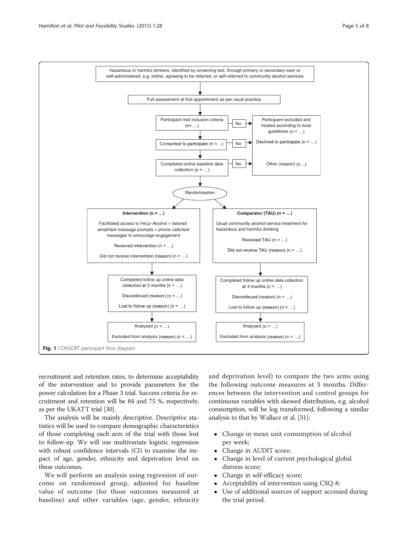<span id="page-4-0"></span>

recruitment and retention rates, to determine acceptability of the intervention and to provide parameters for the power calculation for a Phase 3 trial. Success criteria for recruitment and retention will be 84 and 75 %, respectively, as per the UKATT trial [\[30](#page-7-0)].

The analysis will be mainly descriptive. Descriptive statistics will be used to compare demographic characteristics of those completing each arm of the trial with those lost to follow-up. We will use multivariate logistic regression with robust confidence intervals (CI) to examine the impact of age, gender, ethnicity and deprivation level on these outcomes.

We will perform an analysis using regression of outcome on randomised group, adjusted for baseline value of outcome (for those outcomes measured at baseline) and other variables (age, gender, ethnicity

and deprivation level) to compare the two arms using the following outcome measures at 3 months. Differences between the intervention and control groups for continuous variables with skewed distribution, e.g. alcohol consumption, will be log transformed, following a similar analysis to that by Wallace et al. [[31](#page-7-0)]:

- Change in mean unit consumption of alcohol per week;
- Change in AUDIT score;
- Change in level of current psychological global distress score;
- Change in self-efficacy score;
- Acceptability of intervention using CSO-8;
- Use of additional sources of support accessed during the trial period.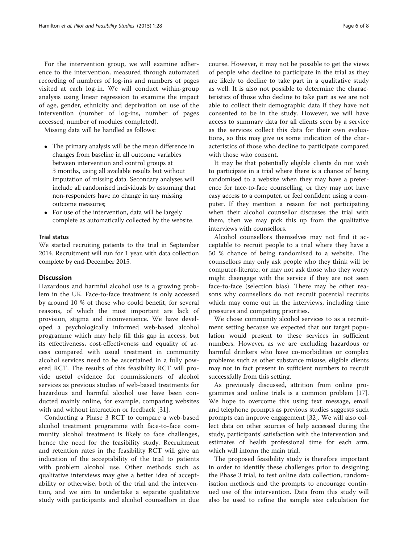For the intervention group, we will examine adherence to the intervention, measured through automated recording of numbers of log-ins and numbers of pages visited at each log-in. We will conduct within-group analysis using linear regression to examine the impact of age, gender, ethnicity and deprivation on use of the intervention (number of log-ins, number of pages accessed, number of modules completed).

Missing data will be handled as follows:

- The primary analysis will be the mean difference in changes from baseline in all outcome variables between intervention and control groups at 3 months, using all available results but without imputation of missing data. Secondary analyses will include all randomised individuals by assuming that non-responders have no change in any missing outcome measures;
- For use of the intervention, data will be largely complete as automatically collected by the website.

#### Trial status

We started recruiting patients to the trial in September 2014. Recruitment will run for 1 year, with data collection complete by end-December 2015.

#### **Discussion**

Hazardous and harmful alcohol use is a growing problem in the UK. Face-to-face treatment is only accessed by around 10 % of those who could benefit, for several reasons, of which the most important are lack of provision, stigma and inconvenience. We have developed a psychologically informed web-based alcohol programme which may help fill this gap in access, but its effectiveness, cost-effectiveness and equality of access compared with usual treatment in community alcohol services need to be ascertained in a fully powered RCT. The results of this feasibility RCT will provide useful evidence for commissioners of alcohol services as previous studies of web-based treatments for hazardous and harmful alcohol use have been conducted mainly online, for example, comparing websites with and without interaction or feedback [[31\]](#page-7-0).

Conducting a Phase 3 RCT to compare a web-based alcohol treatment programme with face-to-face community alcohol treatment is likely to face challenges, hence the need for the feasibility study. Recruitment and retention rates in the feasibility RCT will give an indication of the acceptability of the trial to patients with problem alcohol use. Other methods such as qualitative interviews may give a better idea of acceptability or otherwise, both of the trial and the intervention, and we aim to undertake a separate qualitative study with participants and alcohol counsellors in due

course. However, it may not be possible to get the views of people who decline to participate in the trial as they are likely to decline to take part in a qualitative study as well. It is also not possible to determine the characteristics of those who decline to take part as we are not able to collect their demographic data if they have not consented to be in the study. However, we will have access to summary data for all clients seen by a service as the services collect this data for their own evaluations, so this may give us some indication of the characteristics of those who decline to participate compared with those who consent.

It may be that potentially eligible clients do not wish to participate in a trial where there is a chance of being randomised to a website when they may have a preference for face-to-face counselling, or they may not have easy access to a computer, or feel confident using a computer. If they mention a reason for not participating when their alcohol counsellor discusses the trial with them, then we may pick this up from the qualitative interviews with counsellors.

Alcohol counsellors themselves may not find it acceptable to recruit people to a trial where they have a 50 % chance of being randomised to a website. The counsellors may only ask people who they think will be computer-literate, or may not ask those who they worry might disengage with the service if they are not seen face-to-face (selection bias). There may be other reasons why counsellors do not recruit potential recruits which may come out in the interviews, including time pressures and competing priorities.

We chose community alcohol services to as a recruitment setting because we expected that our target population would present to these services in sufficient numbers. However, as we are excluding hazardous or harmful drinkers who have co-morbidities or complex problems such as other substance misuse, eligible clients may not in fact present in sufficient numbers to recruit successfully from this setting.

As previously discussed, attrition from online programmes and online trials is a common problem [\[17](#page-6-0)]. We hope to overcome this using text message, email and telephone prompts as previous studies suggests such prompts can improve engagement [\[32](#page-7-0)]. We will also collect data on other sources of help accessed during the study, participants' satisfaction with the intervention and estimates of health professional time for each arm, which will inform the main trial.

The proposed feasibility study is therefore important in order to identify these challenges prior to designing the Phase 3 trial, to test online data collection, randomisation methods and the prompts to encourage continued use of the intervention. Data from this study will also be used to refine the sample size calculation for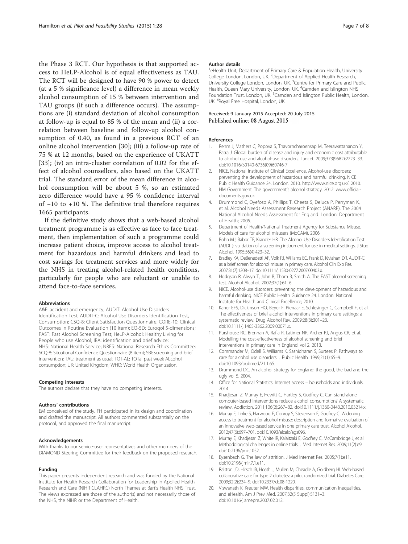<span id="page-6-0"></span>the Phase 3 RCT. Our hypothesis is that supported access to HeLP-Alcohol is of equal effectiveness as TAU. The RCT will be designed to have 90 % power to detect (at a 5 % significance level) a difference in mean weekly alcohol consumption of 15 % between intervention and TAU groups (if such a difference occurs). The assumptions are (i) standard deviation of alcohol consumption at follow-up is equal to 85 % of the mean and (ii) a correlation between baseline and follow-up alcohol consumption of 0.40, as found in a previous RCT of an online alcohol intervention [[30\]](#page-7-0); (iii) a follow-up rate of 75 % at 12 months, based on the experience of UKATT [[33\]](#page-7-0); (iv) an intra-cluster correlation of 0.02 for the effect of alcohol counsellors, also based on the UKATT trial. The standard error of the mean difference in alcohol consumption will be about 5 %, so an estimated zero difference would have a 95 % confidence interval of −10 to +10 %. The definitive trial therefore requires 1665 participants.

If the definitive study shows that a web-based alcohol treatment programme is as effective as face to face treatment, then implementation of such a programme could increase patient choice, improve access to alcohol treatment for hazardous and harmful drinkers and lead to cost savings for treatment services and more widely for the NHS in treating alcohol-related health conditions, particularly for people who are reluctant or unable to attend face-to-face services.

#### **Abbreviations**

A&E: accident and emergency; AUDIT: Alcohol Use Disorders Identification Test; AUDIT-C: Alcohol Use Disorders Identification Test, Consumption; CSQ-8: Client Satisfaction Questionnaire; CORE-10: Clinical Outcomes in Routine Evaluation (10 item); EQ-5D: Euroqol 5-dimensions; FAST: Fast Alcohol Screening Test; HeLP-Alcohol: Healthy Living for People who use Alcohol; IBA: identification and brief advice; NHS: National Health Service; NRES: National Research Ethics Committee; SCQ-8: Situational Confidence Questionnaire (8 item); SBI: screening and brief intervention; TAU: treatment as usual; TOT-AL: TOTal past week ALcohol consumption; UK: United Kingdom; WHO: World Health Organization.

#### Competing interests

The authors declare that they have no competing interests.

#### Authors' contributions

EM conceived of the study. FH participated in its design and coordination and drafted the manuscript. All authors commented substantially on the protocol, and approved the final manuscript.

#### Acknowledgements

With thanks to our service-user representatives and other members of the DIAMOND Steering Committee for their feedback on the proposed research.

#### Funding

This paper presents independent research and was funded by the National Institute for Health Research Collaboration for Leadership in Applied Health Research and Care (NIHR CLAHRC) North Thames at Bart's Health NHS Trust. The views expressed are those of the author(s) and not necessarily those of the NHS, the NIHR or the Department of Health.

#### Author details

<sup>1</sup>eHealth Unit, Department of Primary Care & Population Health, University College London, London, UK.<sup>2</sup> Department of Applied Health Research, University College London, London, UK.<sup>3</sup> Centre for Primary Care and Public Health, Queen Mary University, London, UK. <sup>4</sup> Camden and Islington NHS Foundation Trust, London, UK.<sup>5</sup> Camden and Islington Public Health, London, UK. <sup>6</sup>Royal Free Hospital, London, UK.

#### Received: 9 January 2015 Accepted: 20 July 2015 Published online: 08 August 2015

#### References

- 1. Rehm J, Mathers C, Popova S, Thavorncharoensap M, Teerawattananon Y, Patra J. Global burden of disease and injury and economic cost attributable to alcohol use and alcohol-use disorders. Lancet. 2009;373(9682):2223–33. doi[:10.1016/S0140-6736\(09\)60746-7.](http://dx.doi.org/10.1016/S0140-6736(09)60746-7)
- 2. NICE, National Institute of Clinical Excellence. Alcohol-use disorders: preventing the development of hazardous and harmful drinking. NICE Public Health Guidance 24. London. 2010. [http://www.nice.org.uk/.](http://www.nice.org.uk/) 2010.
- 3. HM Government. The government's alcohol strategy. 2012. [www.official](http://www.official-documents.gov.uk)[documents.gov.uk.](http://www.official-documents.gov.uk)
- 4. Drummond C, Oyefoso A, Phillips T, Cheeta S, Deluca P, Perryman K, et al. Alcohol Needs Assessment Research Project (ANARP). The 2004 National Alcohol Needs Assessment for England. London: Department of Health; 2005.
- 5. Department of Health/National Treatment Agency for Substance Misuse. Models of care for alcohol misusers (MoCAM). 2006.
- 6. Bohn MJ, Babor TF, Kranzler HR. The Alcohol Use Disorders Identification Test (AUDIT): validation of a screening instrument for use in medical settings. J Stud Alcohol. 1995;56(4):423–32.
- 7. Bradley KA, DeBenedetti AF, Volk RJ, Williams EC, Frank D, Kivlahan DR. AUDIT-C as a brief screen for alcohol misuse in primary care. Alcohol Clin Exp Res. 2007;31(7):1208–17. doi:[10.1111/j.1530-0277.2007.00403.x](http://dx.doi.org/10.1111/j.1530-0277.2007.00403.x).
- 8. Hodgson R, Alwyn T, John B, Thom B, Smith A. The FAST alcohol screening test. Alcohol Alcohol. 2002;37(1):61–6.
- 9. NICE. Alcohol-use disorders: preventing the development of hazardous and harmful drinking. NICE Public Health Guidance 24. London: National Institute for Health and Clinical Excellence; 2010.
- 10. Kaner EFS, Dickinson HO, Beyer F, Pienaar E, Schlesinger C, Campbell F, et al. The effectiveness of brief alcohol interventions in primary care settings: a systematic review. Drug Alcohol Rev. 2009;28(3):301–23. doi[:10.1111/j.1465-3362.2009.00071.x](http://dx.doi.org/10.1111/j.1465-3362.2009.00071.x).
- 11. Purshouse RC, Brennan A, Rafia R, Latimer NR, Archer RJ, Angus CR, et al. Modelling the cost-effectiveness of alcohol screening and brief interventions in primary care in England. vol 2. 2013.
- 12. Commander M, Odell S, Williams K, Sashidharan S, Surtees P. Pathways to care for alcohol use disorders. J Public Health. 1999;21(1):65–9. doi[:10.1093/pubmed/21.1.65.](http://dx.doi.org/10.1093/pubmed/21.1.65)
- 13. Drummond DC. An alcohol strategy for England: the good, the bad and the ugly vol 5. 2004.
- 14. Office for National Statistics. Internet access households and individuals. 2014.
- 15. Khadjesari Z, Murray E, Hewitt C, Hartley S, Godfrey C. Can stand-alone computer-based interventions reduce alcohol consumption? A systematic review. Addiction. 2011;106(2):267–82. doi[:10.1111/j.1360-0443.2010.03214.x.](http://dx.doi.org/10.1111/j.1360-0443.2010.03214.x)
- 16. Murray E, Linke S, Harwood E, Conroy S, Stevenson F, Godfrey C. Widening access to treatment for alcohol misuse: description and formative evaluation of an innovative web-based service in one primary care trust. Alcohol Alcohol. 2012;47(6):697–701. doi[:10.1093/alcalc/ags096](http://dx.doi.org/10.1093/alcalc/ags096).
- 17. Murray E, Khadjesari Z, White IR, Kalaitzaki E, Godfrey C, McCambridge J, et al. Methodological challenges in online trials. J Med Internet Res. 2009;11(2):e9. doi:[10.2196/jmir.1052.](http://dx.doi.org/10.2196/jmir.1052)
- 18. Eysenbach G. The law of attrition. J Med Internet Res. 2005;7(1):e11. doi[:10.2196/jmir.7.1.e11.](http://dx.doi.org/10.2196/jmir.7.1.e11)
- 19. Ralston JD, Hirsch IB, Hoath J, Mullen M, Cheadle A, Goldberg HI. Web-based collaborative care for type 2 diabetes: a pilot randomized trial. Diabetes Care. 2009;32(2):234–9. doi[:10.2337/dc08-1220.](http://dx.doi.org/10.2337/dc08-1220)
- 20. Viswanath K, Kreuter MW. Health disparities, communication inequalities, and eHealth. Am J Prev Med. 2007;32(5 Suppl):S131–3. doi[:10.1016/j.amepre.2007.02.012.](http://dx.doi.org/10.1016/j.amepre.2007.02.012)